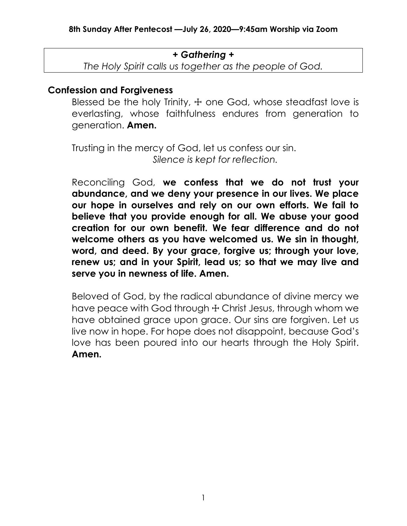### *+ Gathering +*

*The Holy Spirit calls us together as the people of God.*

## **Confession and Forgiveness**

Blessed be the holy Trinity,  $+$  one God, whose steadfast love is everlasting, whose faithfulness endures from generation to generation. **Amen.**

Trusting in the mercy of God, let us confess our sin. *Silence is kept for reflection.*

Reconciling God, **we confess that we do not trust your abundance, and we deny your presence in our lives. We place our hope in ourselves and rely on our own efforts. We fail to believe that you provide enough for all. We abuse your good creation for our own benefit. We fear difference and do not welcome others as you have welcomed us. We sin in thought, word, and deed. By your grace, forgive us; through your love, renew us; and in your Spirit, lead us; so that we may live and serve you in newness of life. Amen.**

Beloved of God, by the radical abundance of divine mercy we have peace with God through  $+$  Christ Jesus, through whom we have obtained grace upon grace. Our sins are forgiven. Let us live now in hope. For hope does not disappoint, because God's love has been poured into our hearts through the Holy Spirit. **Amen.**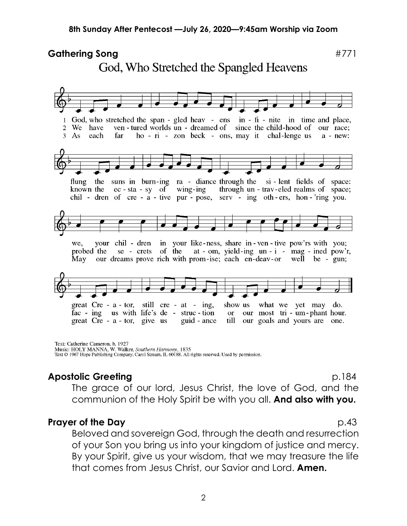#### Gathering Song **Exercise 2018 #771** God, Who Stretched the Spangled Heavens  $\mathbf{1}$ God, who stretched the span - gled heav - ens in - fi - nite in time and place,  $\overline{2}$ We have ven - tured worlds un - dreamed of since the child-hood of our race; ho - ri - zon beck - ons, may it chal-lenge us  $3<sup>1</sup>$  $As$ each far  $a - new:$ flung the suns in burn-ing ra - diance through the si-lent fields of space: known the ec - sta - sy of wing-ing through un - trav-eled realms of space; chil - dren of cre - a - tive pur - pose, serv - ing oth-ers, hon-'ring you. your chil - dren in your like-ness, share in-ven-tive pow'rs with you; we. probed the se - crets of the  $at$  - om, yield-ing  $un - i$  - mag - ined pow'r, May our dreams prove rich with prom-ise; each en-deav-or well be -  $gun;$ great  $Cre - a - tor$ , still  $cre - at - ing$ , show us what we yet may do. fac - ing us with life's de - struc-tion our most tri - um-phant hour.  $\alpha$ great  $Cre - a - tor$ , give us guid - ance till our goals and yours are one.

Text: Catherine Cameron, b. 1927 Music: HOLY MANNA, W. Walker, Southern Harmony, 1835 Text © 1967 Hope Publishing Company, Carol Stream, IL 60188. All rights reserved. Used by permission.

# **Apostolic Greeting** by a set of the p.184

The grace of our lord, Jesus Christ, the love of God, and the communion of the Holy Spirit be with you all. **And also with you.**

## **Prayer of the Day** p.43

Beloved and sovereign God, through the death and resurrection of your Son you bring us into your kingdom of justice and mercy. By your Spirit, give us your wisdom, that we may treasure the life that comes from Jesus Christ, our Savior and Lord. **Amen.**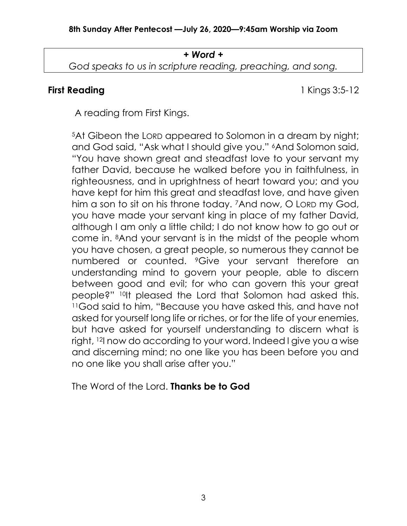# *+ Word + God speaks to us in scripture reading, preaching, and song.*

**First Reading** 1 Kings 3:5-12

A reading from First Kings.

<sup>5</sup>At Gibeon the LORD appeared to Solomon in a dream by night; and God said, "Ask what I should give you." 6And Solomon said, "You have shown great and steadfast love to your servant my father David, because he walked before you in faithfulness, in righteousness, and in uprightness of heart toward you; and you have kept for him this great and steadfast love, and have given him a son to sit on his throne today. <sup>7</sup>And now, O LORD my God, you have made your servant king in place of my father David, although I am only a little child; I do not know how to go out or come in. 8And your servant is in the midst of the people whom you have chosen, a great people, so numerous they cannot be numbered or counted. 9Give your servant therefore an understanding mind to govern your people, able to discern between good and evil; for who can govern this your great people?" 10It pleased the Lord that Solomon had asked this. <sup>11</sup>God said to him, "Because you have asked this, and have not asked for yourself long life or riches, or for the life of your enemies, but have asked for yourself understanding to discern what is right, 12I now do according to your word. Indeed I give you a wise and discerning mind; no one like you has been before you and no one like you shall arise after you."

The Word of the Lord. **Thanks be to God**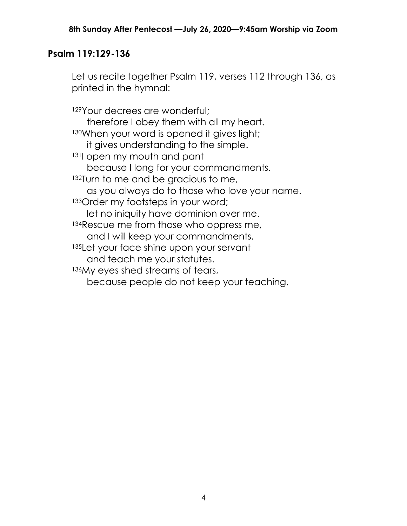## **Psalm 119:129-136**

Let us recite together Psalm 119, verses 112 through 136, as printed in the hymnal:

129Your decrees are wonderful; therefore I obey them with all my heart. 130When your word is opened it gives light; it gives understanding to the simple. <sup>131</sup>I open my mouth and pant because I long for your commandments. 132Turn to me and be gracious to me, as you always do to those who love your name. 133 Order my footsteps in your word; let no iniquity have dominion over me. 134 Rescue me from those who oppress me, and I will keep your commandments. 135Let your face shine upon your servant and teach me your statutes. 136My eyes shed streams of tears, because people do not keep your teaching.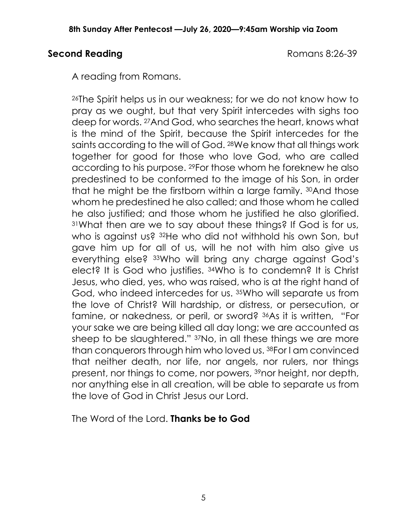## **Second Reading** Romans 8:26-39

A reading from Romans.

<sup>26</sup>The Spirit helps us in our weakness; for we do not know how to pray as we ought, but that very Spirit intercedes with sighs too deep for words. 27And God, who searches the heart, knows what is the mind of the Spirit, because the Spirit intercedes for the saints according to the will of God. 28We know that all things work together for good for those who love God, who are called according to his purpose. 29For those whom he foreknew he also predestined to be conformed to the image of his Son, in order that he might be the firstborn within a large family. 30And those whom he predestined he also called; and those whom he called he also justified; and those whom he justified he also glorified. <sup>31</sup>What then are we to say about these things? If God is for us, who is against us? 32He who did not withhold his own Son, but gave him up for all of us, will he not with him also give us everything else? 33Who will bring any charge against God's elect? It is God who justifies. 34Who is to condemn? It is Christ Jesus, who died, yes, who was raised, who is at the right hand of God, who indeed intercedes for us. 35Who will separate us from the love of Christ? Will hardship, or distress, or persecution, or famine, or nakedness, or peril, or sword? 36As it is written, "For your sake we are being killed all day long; we are accounted as sheep to be slaughtered." 37No, in all these things we are more than conquerors through him who loved us. 38For I am convinced that neither death, nor life, nor angels, nor rulers, nor things present, nor things to come, nor powers, 39nor height, nor depth, nor anything else in all creation, will be able to separate us from the love of God in Christ Jesus our Lord.

The Word of the Lord. **Thanks be to God**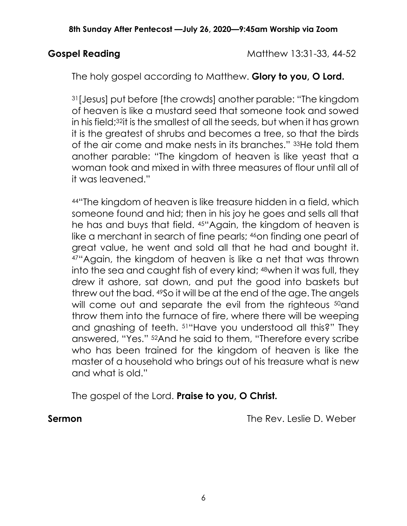**Gospel Reading**  Matthew 13:31-33, 44-52

The holy gospel according to Matthew. **Glory to you, O Lord.**

<sup>31</sup>[Jesus] put before [the crowds] another parable: "The kingdom of heaven is like a mustard seed that someone took and sowed in his field;32it is the smallest of all the seeds, but when it has grown it is the greatest of shrubs and becomes a tree, so that the birds of the air come and make nests in its branches." 33He told them another parable: "The kingdom of heaven is like yeast that a woman took and mixed in with three measures of flour until all of it was leavened."

<sup>44</sup>"The kingdom of heaven is like treasure hidden in a field, which someone found and hid; then in his joy he goes and sells all that he has and buys that field. 45"Again, the kingdom of heaven is like a merchant in search of fine pearls; <sup>46</sup>on finding one pearl of great value, he went and sold all that he had and bought it. <sup>47</sup>"Again, the kingdom of heaven is like a net that was thrown into the sea and caught fish of every kind; 48when it was full, they drew it ashore, sat down, and put the good into baskets but threw out the bad. 49So it will be at the end of the age. The angels will come out and separate the evil from the righteous <sup>50</sup>and throw them into the furnace of fire, where there will be weeping and gnashing of teeth. 51"Have you understood all this?" They answered, "Yes." 52And he said to them, "Therefore every scribe who has been trained for the kingdom of heaven is like the master of a household who brings out of his treasure what is new and what is old."

The gospel of the Lord. **Praise to you, O Christ.**

**Sermon** The Rev. Leslie D. Weber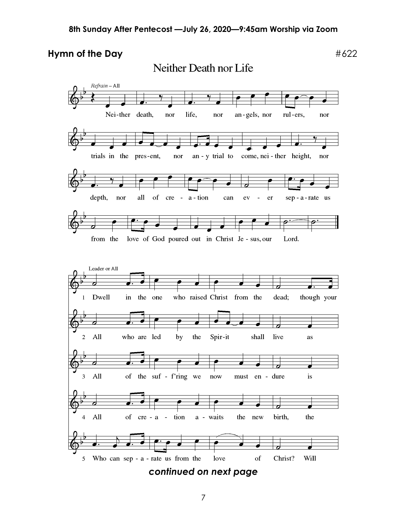**Hymn of the Day**  $\#622$ 

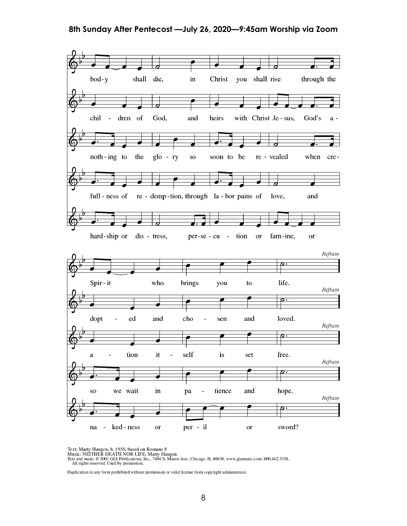#### **8th Sunday After Pentecost —July 26, 2020—9:45am Worship via Zoom**



Text: Marty Haugen, b. 1950, based on Romans 8<br>Music: NEITHER DEATH NOR LIFE, Marty Haugen<br>Text and music © 2001 GIA Publications, Inc., 7404 S. Mason Ave., Chicago, IL 60638. www.giamusic.com. 800.442.3358.<br>All rights res

Duplication in any form prohibited without permission or valid license from copyright administrator.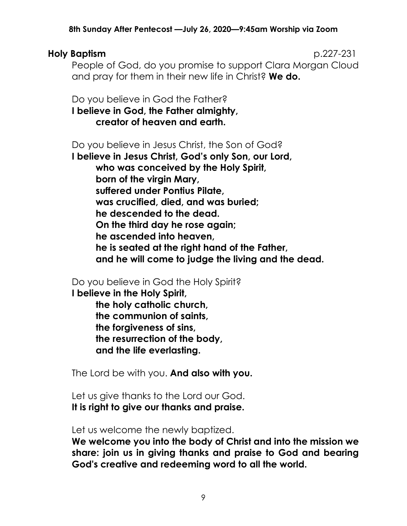### **8th Sunday After Pentecost —July 26, 2020—9:45am Worship via Zoom**

### **Holy Baptism** p.227-231

People of God, do you promise to support Clara Morgan Cloud and pray for them in their new life in Christ? **We do.**

Do you believe in God the Father? **I believe in God, the Father almighty, creator of heaven and earth.**

Do you believe in Jesus Christ, the Son of God?

**I believe in Jesus Christ, God's only Son, our Lord, who was conceived by the Holy Spirit, born of the virgin Mary, suffered under Pontius Pilate, was crucified, died, and was buried; he descended to the dead. On the third day he rose again; he ascended into heaven, he is seated at the right hand of the Father, and he will come to judge the living and the dead.**

Do you believe in God the Holy Spirit?

**I believe in the Holy Spirit, the holy catholic church, the communion of saints, the forgiveness of sins, the resurrection of the body, and the life everlasting.**

The Lord be with you. **And also with you.**

Let us give thanks to the Lord our God. **It is right to give our thanks and praise.**

Let us welcome the newly baptized.

**We welcome you into the body of Christ and into the mission we share: join us in giving thanks and praise to God and bearing God's creative and redeeming word to all the world.**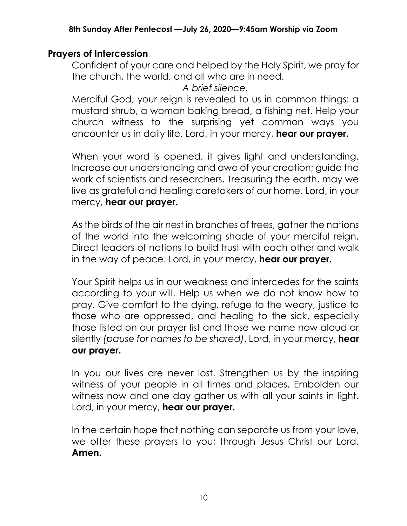## **Prayers of Intercession**

Confident of your care and helped by the Holy Spirit, we pray for the church, the world, and all who are in need.

*A brief silence.*

Merciful God, your reign is revealed to us in common things: a mustard shrub, a woman baking bread, a fishing net. Help your church witness to the surprising yet common ways you encounter us in daily life. Lord, in your mercy, **hear our prayer.**

When your word is opened, it gives light and understanding. Increase our understanding and awe of your creation; guide the work of scientists and researchers. Treasuring the earth, may we live as grateful and healing caretakers of our home. Lord, in your mercy, **hear our prayer.**

As the birds of the air nest in branches of trees, gather the nations of the world into the welcoming shade of your merciful reign. Direct leaders of nations to build trust with each other and walk in the way of peace. Lord, in your mercy, **hear our prayer.**

Your Spirit helps us in our weakness and intercedes for the saints according to your will. Help us when we do not know how to pray. Give comfort to the dying, refuge to the weary, justice to those who are oppressed, and healing to the sick, especially those listed on our prayer list and those we name now aloud or silently *(pause for names to be shared)*. Lord, in your mercy, **hear our prayer.**

In you our lives are never lost. Strengthen us by the inspiring witness of your people in all times and places. Embolden our witness now and one day gather us with all your saints in light. Lord, in your mercy, **hear our prayer.**

In the certain hope that nothing can separate us from your love, we offer these prayers to you; through Jesus Christ our Lord. **Amen.**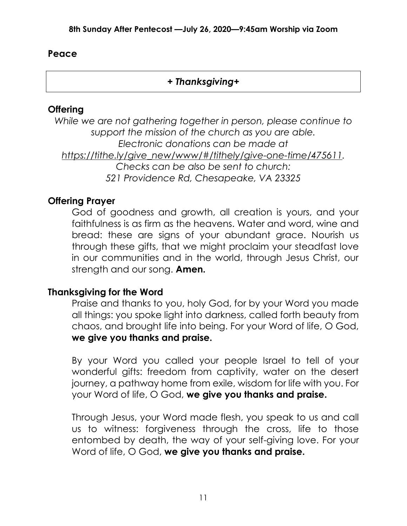## **Peace**

## *+ Thanksgiving+*

## **Offering**

*While we are not gathering together in person, please continue to support the mission of the church as you are able. Electronic donations can be made at [https://tithe.ly/give\\_new/www/#/tithely/give-one-time/475611.](https://tithe.ly/give_new/www/#/tithely/give-one-time/475611) Checks can be also be sent to church: 521 Providence Rd, Chesapeake, VA 23325*

## **Offering Prayer**

God of goodness and growth, all creation is yours, and your faithfulness is as firm as the heavens. Water and word, wine and bread: these are signs of your abundant grace. Nourish us through these gifts, that we might proclaim your steadfast love in our communities and in the world, through Jesus Christ, our strength and our song. **Amen.**

## **Thanksgiving for the Word**

Praise and thanks to you, holy God, for by your Word you made all things: you spoke light into darkness, called forth beauty from chaos, and brought life into being. For your Word of life, O God, **we give you thanks and praise.**

By your Word you called your people Israel to tell of your wonderful gifts: freedom from captivity, water on the desert journey, a pathway home from exile, wisdom for life with you. For your Word of life, O God, **we give you thanks and praise.**

Through Jesus, your Word made flesh, you speak to us and call us to witness: forgiveness through the cross, life to those entombed by death, the way of your self-giving love. For your Word of life, O God, **we give you thanks and praise.**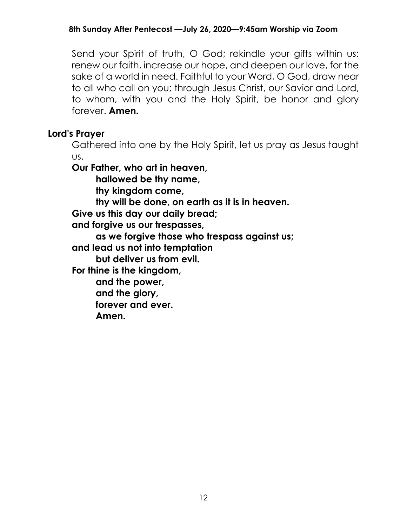Send your Spirit of truth, O God; rekindle your gifts within us: renew our faith, increase our hope, and deepen our love, for the sake of a world in need. Faithful to your Word, O God, draw near to all who call on you; through Jesus Christ, our Savior and Lord, to whom, with you and the Holy Spirit, be honor and glory forever. **Amen.**

## **Lord's Prayer**

Gathered into one by the Holy Spirit, let us pray as Jesus taught us.

**Our Father, who art in heaven,** 

**hallowed be thy name,**

**thy kingdom come,**

**thy will be done, on earth as it is in heaven.** 

**Give us this day our daily bread;** 

**and forgive us our trespasses,** 

**as we forgive those who trespass against us;**

**and lead us not into temptation**

**but deliver us from evil.** 

**For thine is the kingdom,** 

**and the power,** 

**and the glory,**

**forever and ever.** 

**Amen.**